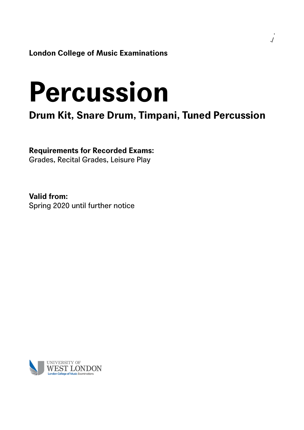**London College of Music Examinations**

# **Percussion**

**Drum Kit, Snare Drum, Timpani, Tuned Percussion**

**Requirements for Recorded Exams:**

Grades, Recital Grades, Leisure Play

**Valid from:** Spring 2020 until further notice

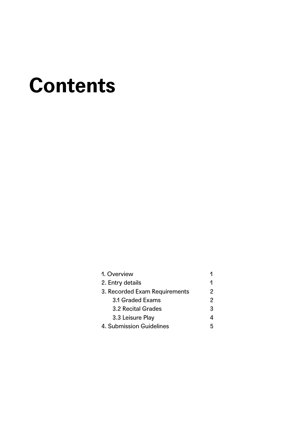# **Contents**

| 1. Overview                   |   |  |
|-------------------------------|---|--|
| 2. Entry details              |   |  |
| 3. Recorded Exam Requirements | 2 |  |
| 3.1 Graded Exams              | 2 |  |
| 3.2 Recital Grades            | 3 |  |
| 3.3 Leisure Play              |   |  |
| 4. Submission Guidelines      |   |  |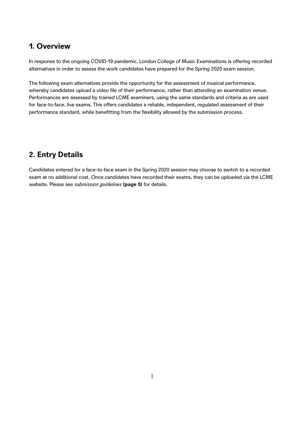### **1. Overview**

In response to the ongoing COVID-19 pandemic, London College of Music Examinations is offering recorded alternatives in order to assess the work candidates have prepared for the Spring 2020 exam session.

The following exam alternatives provide the opportunity for the assessment of musical performance, whereby candidates upload a video file of their performance, rather than attending an examination venue. Performances are assessed by trained LCME examiners, using the same standards and criteria as are used for face-to-face, live exams. This offers candidates a reliable, independent, regulated assessment of their performance standard, while benefitting from the flexibility allowed by the submission process.

## **2. Entry Details**

Candidates entered for a face-to-face exam in the Spring 2020 session may choose to switch to a recorded exam at no additional cost. Once candidates have recorded their exams, they can be uploaded via the LCME website. Please see *submission guidelines* **(page 5)** for details.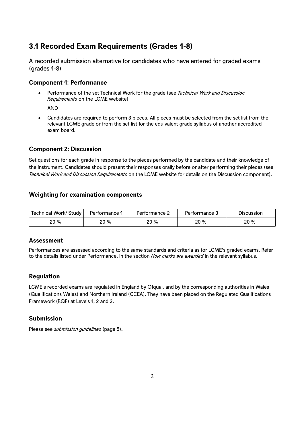# **3.1 Recorded Exam Requirements (Grades 1-8)**

A recorded submission alternative for candidates who have entered for graded exams (grades 1-8)

#### **Component 1: Performance**

 Performance of the set Technical Work for the grade (see *Technical Work and Discussion Requirements* on the LCME website)

AND

 Candidates are required to perform 3 pieces. All pieces must be selected from the set list from the relevant LCME grade or from the set list for the equivalent grade syllabus of another accredited exam board.

#### **Component 2: Discussion**

Set questions for each grade in response to the pieces performed by the candidate and their knowledge of the instrument. Candidates should present their responses orally before or after performing their pieces (see *Technical Work and Discussion Requirements* on the LCME website for details on the Discussion component).

#### **Weighting for examination components**

| Technical Work/ Study | Performance 1 | Performance 2 | Performance 3 | <b>Discussion</b> |
|-----------------------|---------------|---------------|---------------|-------------------|
| 20 %                  | 20 %          | 20 %          | 20 %          | 20%               |

#### **Assessment**

Performances are assessed according to the same standards and criteria as for LCME's graded exams. Refer to the details listed under Performance, in the section *How marks are awarded* in the relevant syllabus.

#### **Regulation**

LCME's recorded exams are regulated in England by Ofqual, and by the corresponding authorities in Wales (Qualifications Wales) and Northern Ireland (CCEA). They have been placed on the Regulated Qualifications Framework (RQF) at Levels 1, 2 and 3.

#### **Submission**

Please see *submission guidelines* (page 5).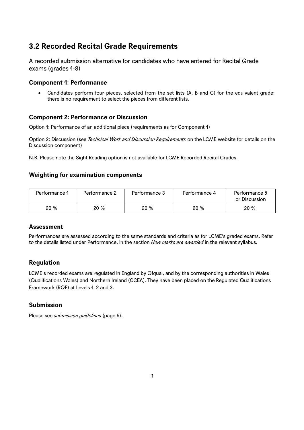# **3.2 Recorded Recital Grade Requirements**

A recorded submission alternative for candidates who have entered for Recital Grade exams (grades 1-8)

#### **Component 1: Performance**

• Candidates perform four pieces, selected from the set lists (A, B and C) for the equivalent grade; there is no requirement to select the pieces from different lists.

#### **Component 2: Performance or Discussion**

Option 1: Performance of an additional piece (requirements as for Component 1)

Option 2: Discussion (see *Technical Work and Discussion Requirements* on the LCME website for details on the Discussion component)

N.B. Please note the Sight Reading option is not available for LCME Recorded Recital Grades.

#### **Weighting for examination components**

| Performance 1 | Performance 2 | Performance 3 | Performance 4 | Performance 5<br>or Discussion |
|---------------|---------------|---------------|---------------|--------------------------------|
| 20 %          | 20 %          | 20%           | 20 %          | 20 %                           |

#### **Assessment**

Performances are assessed according to the same standards and criteria as for LCME's graded exams. Refer to the details listed under Performance, in the section *How marks are awarded* in the relevant syllabus.

#### **Regulation**

LCME's recorded exams are regulated in England by Ofqual, and by the corresponding authorities in Wales (Qualifications Wales) and Northern Ireland (CCEA). They have been placed on the Regulated Qualifications Framework (RQF) at Levels 1, 2 and 3.

#### **Submission**

Please see *submission guidelines* (page 5).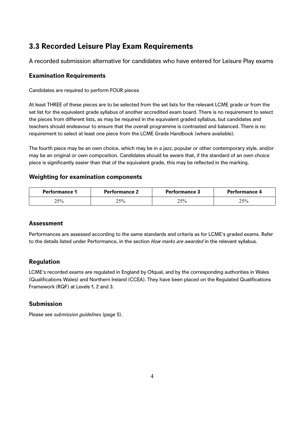# **3.3 Recorded Leisure Play Exam Requirements**

A recorded submission alternative for candidates who have entered for Leisure Play exams

#### **Examination Requirements**

Candidates are required to perform FOUR pieces

At least THREE of these pieces are to be selected from the set lists for the relevant LCME grade or from the set list for the equivalent grade syllabus of another accredited exam board. There is no requirement to select the pieces from different lists, as may be required in the equivalent graded syllabus, but candidates and teachers should endeavour to ensure that the overall programme is contrasted and balanced. There is no requirement to select at least one piece from the LCME Grade Handbook (where available).

The fourth piece may be an own choice, which may be in a jazz, popular or other contemporary style, and/or may be an original or own composition. Candidates should be aware that, if the standard of an own choice piece is significantly easier than that of the equivalent grade, this may be reflected in the marking.

#### **Weighting for examination components**

| <b>Performance 1</b> | <b>Performance 2</b> | <b>Performance 3</b> | Performance 4 |
|----------------------|----------------------|----------------------|---------------|
| 25%                  | 25%                  | 25%                  | 25%           |

#### **Assessment**

Performances are assessed according to the same standards and criteria as for LCME's graded exams. Refer to the details listed under Performance, in the section *How marks are awarded* in the relevant syllabus.

#### **Regulation**

LCME's recorded exams are regulated in England by Ofqual, and by the corresponding authorities in Wales (Qualifications Wales) and Northern Ireland (CCEA). They have been placed on the Regulated Qualifications Framework (RQF) at Levels 1, 2 and 3.

#### **Submission**

Please see *submission guidelines* (page 5).